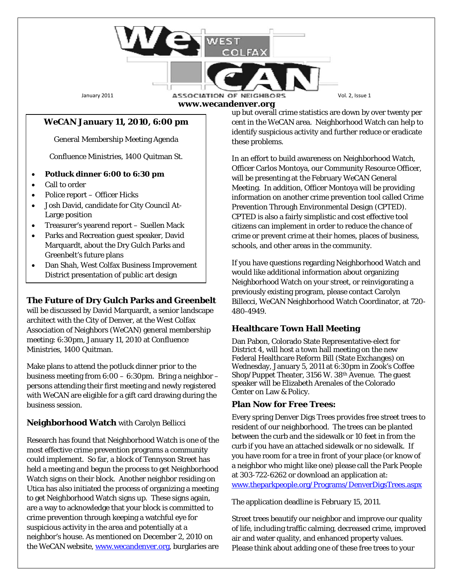#### January 2011 **ASSOCIATION OF NEIGHBORS** Vol. 2, Issue 1 **www.wecandenver.org**

 $\cap$  FA)

## *WeCAN* **January 11, 2010, 6:00 pm**

General Membership Meeting Agenda

Confluence Ministries, 1400 Quitman St.

- **Potluck dinner 6:00 to 6:30 pm**
- Call to order
- Police report Officer Hicks
- Josh David, candidate for City Council At-Large position
- Treasurer's yearend report Suellen Mack
- Parks and Recreation guest speaker, David Marquardt, about the Dry Gulch Parks and Greenbelt's future plans
- Dan Shah, West Colfax Business Improvement District presentation of public art design

### **The Future of Dry Gulch Parks and Greenbelt**

will be discussed by David Marquardt, a senior landscape architect with the City of Denver, at the West Colfax Association of Neighbors (*WeCAN*) general membership meeting: 6:30pm, January 11, 2010 at Confluence Ministries, 1400 Quitman.

Make plans to attend the potluck dinner prior to the business meeting from 6:00 – 6:30pm. Bring a neighbor – persons attending their first meeting and newly registered with *WeCAN* are eligible for a gift card drawing during the business session.

### **Neighborhood Watch** with Carolyn Bellicci

Research has found that Neighborhood Watch is one of the most effective crime prevention programs a community could implement. So far, a block of Tennyson Street has held a meeting and begun the process to get Neighborhood Watch signs on their block. Another neighbor residing on Utica has also initiated the process of organizing a meeting to get Neighborhood Watch signs up. These signs again, are a way to acknowledge that your block is committed to crime prevention through keeping a watchful eye for suspicious activity in the area and potentially at a neighbor's house. As mentioned on December 2, 2010 on the WeCAN website, [www.wecandenver.org,](http://www.wecandenver.org/) burglaries are up but overall crime statistics are down by over twenty per cent in the WeCAN area. Neighborhood Watch can help to identify suspicious activity and further reduce or eradicate these problems.

In an effort to build awareness on Neighborhood Watch, Officer Carlos Montoya, our Community Resource Officer, will be presenting at the February *WeCAN* General Meeting. In addition, Officer Montoya will be providing information on another crime prevention tool called Crime Prevention Through Environmental Design (CPTED). CPTED is also a fairly simplistic and cost effective tool citizens can implement in order to reduce the chance of crime or prevent crime at their homes, places of business, schools, and other areas in the community.

If you have questions regarding Neighborhood Watch and would like additional information about organizing Neighborhood Watch on your street, or reinvigorating a previously existing program, please contact Carolyn Billecci, WeCAN Neighborhood Watch Coordinator, at 720- 480-4949.

### **Healthcare Town Hall Meeting**

Dan Pabon, Colorado State Representative-elect for District 4, will host a town hall meeting on the new Federal Healthcare Reform Bill (State Exchanges) on Wednesday, January 5, 2011 at 6:30pm in Zook's Coffee Shop/Puppet Theater, 3156 W. 38th Avenue. The guest speaker will be Elizabeth Arenales of the Colorado Center on Law & Policy.

#### **Plan Now for Free Trees:**

Every spring Denver Digs Trees provides free street trees to resident of our neighborhood. The trees can be planted between the curb and the sidewalk or 10 feet in from the curb if you have an attached sidewalk or no sidewalk. If you have room for a tree in front of your place (or know of a neighbor who might like one) please call the Park People at 303-722-6262 or download an application at: [www.theparkpeople.org/Programs/DenverDigsTrees.aspx](http://www.theparkpeople.org/Programs/DenverDigsTrees.aspx) 

The application deadline is February 15, 2011.

Street trees beautify our neighbor and improve our quality of life, including traffic calming, decreased crime, improved air and water quality, and enhanced property values. Please think about adding one of these free trees to your